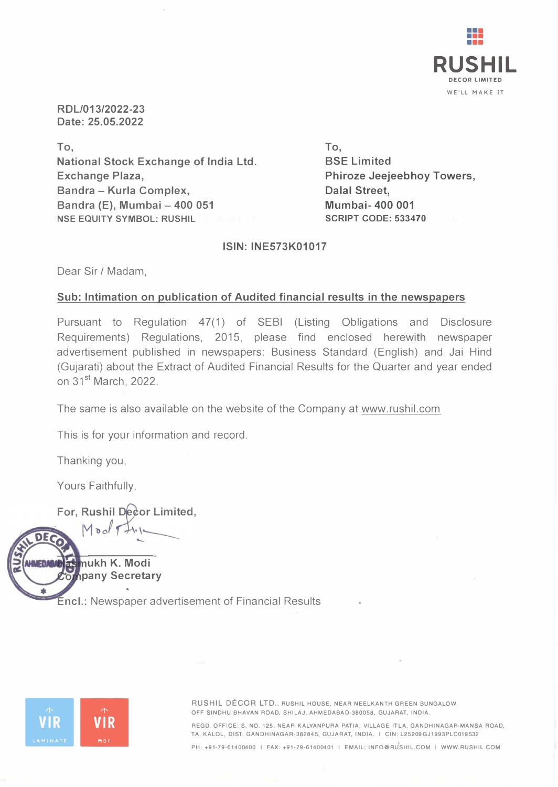

**RDL/013/2022-23 Date: 25.05.2022** 

**To, National Stock Exchange of India Ltd. Exchange Plaza, Sandra - Kurla Complex, Sandra (E), Mumbai·- 400 051 NSE EQUITY SYMBOL: RUSHIL**

**To, SSE Limited Phiroze Jeejeebhoy Towers, Dalal Street, Mumbai- 400 001 SCRIPT CODE: 533470**

**ISIN: INE573K01017** 

Dear Sir/ Madam,

## **Sub: Intimation on publication of Audited financial results in the newspapers**

Pursuant to Regulation 47(1) of SEBI (Listing Obligations and Disclosure Requirements) Regulations, 2015, please find enclosed herewith newspaper advertisement published in newspapers: Business Standard (English) and Jai Hind (Gujarati) about the Extract of Audited Financial Results for the Quarter and year ended on 31<sup>st</sup> March, 2022.

The same is also available on the website of the Company at www.rushil.com

This is for your information and record.

Thanking you,

Yours Faithfully,

For, Rushil Decor Limited,

Mod

**ukh K. Modi pany Secretary** 

**Encl.:** Newspaper advertisement of Financial Results



**MST** 

車

**•• RUSHIL DÉCOR LTD., RUSHIL HOUSE, NEAR NEELKANTH GREEN BUNGALOW,**<br>**PESINDHU BHAVAN ROAD, SHILAJ, AHMEDABAD-380058, GUJARAT, INDIA.**<br>**REGD. OFFICE: S. NO. 125, NEAR KALYANPURA PATIA, VILLAGE ITLA, GANDHINAGAR<br>TA. KALOL, OFF SINDHU BHAVAN ROAD, SHILAJ, AHMEDABAD-380058, GUJARAT, INDIA. REGO. OFFICE: S. NO. 125, NEAR KALYANPURA PATIA, VILLAGE ITLA, GANDHINAGAR-MANSA ROAD, TA. KALOL, 01ST. GANDHINAGAR-382845, GUJARAT, INDIA. I CIN: L25209GJ1993PLC019532** 

**PH: +91-79-61400400 I FAX: +91-79-61400401 I EMAIL: INFO@RUSHIL.COM I WWW.RUSHIL.COM**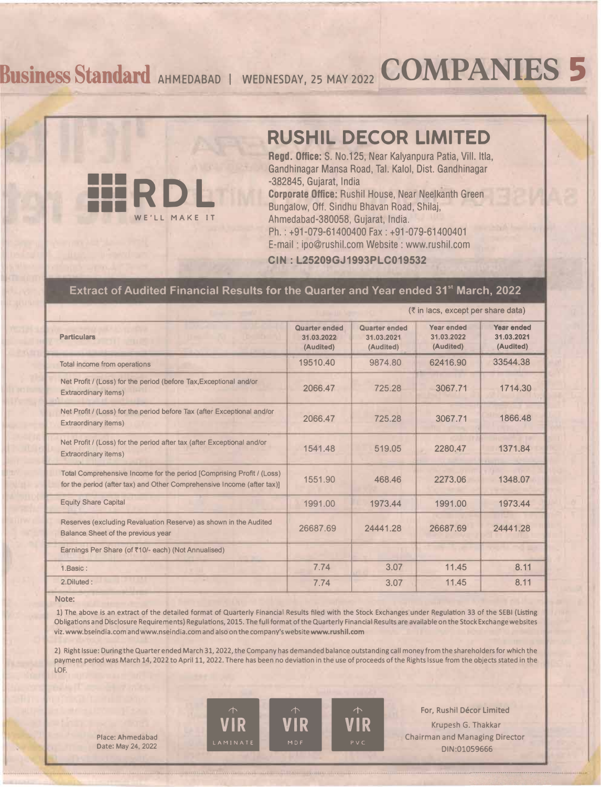# **�usinessStandard AHMEDABAD** <sup>I</sup> **wEDNEsDAv, 2s MAv2022 COMPANIES 5**



Regd. Office: S. No.125, Near Kalyanpura Patia, Vill. Itla, Gandhinagar Mansa Road, Tai. Kaloi, Dist. Gandhinagar -382845, Gujarat, India

Corporate Office: Rushil House, Near Neelkanth Green Bungalow, Off. Sindhu Bhavan Road, Shilaj, Ahmedabad-380058, Gujarat, India. Ph. : +91-079-61400400 Fax : +91-079-61400401 E-mail · ipo@rushil.com Website : www.rushil.com

**CIN : L25209GJ1993PLC019532**

## **Extract of Audited Financial Results for the Quarter and Year ended 31'' March, 2022**

| (₹ in lacs, except per share data)       |                                          |                                       |                                       |  |
|------------------------------------------|------------------------------------------|---------------------------------------|---------------------------------------|--|
| Quarter ended<br>31.03.2022<br>(Audited) | Quarter ended<br>31.03.2021<br>(Audited) | Year ended<br>31.03.2022<br>(Audited) | Year ended<br>31.03.2021<br>(Audited) |  |
| 19510.40                                 | 9874.80                                  | 62416.90                              | 33544.38                              |  |
| 2066.47                                  | 725.28                                   | 3067.71                               | 1714.30                               |  |
| 2066.47                                  | 725.28                                   | 3067.71                               | 1866.48                               |  |
| 1541.48                                  | 519.05                                   | 2280.47                               | 1371.84                               |  |
| 1551.90                                  | 468.46                                   | 2273.06                               | 1348.07                               |  |
| 1991.00                                  | 1973.44                                  | 1991.00                               | 1973.44                               |  |
| 26687.69                                 | 24441.28                                 | 26687.69                              | 24441.28                              |  |
|                                          |                                          |                                       |                                       |  |
| 7.74                                     | 3.07                                     | 11.45                                 | 8.11                                  |  |
| 7.74                                     | 3.07                                     | 11.45                                 | 8.11                                  |  |
|                                          |                                          |                                       |                                       |  |

### **Note:**

**1) The above is an extract of the detailed format of Quarterly Financial Results filed with the Stock Exchanges under Regulation 33 of the SEBI (Listing Obligations and Disclosure Requirements) Regulations, 20 15. The full format of the Quarterly Financial Results are available on the Stock Exchange websites viz. www.bseindia.com and www.nseindia.com and also on the company's website www.rushll.com** 

**2) Right Issue: During the Quarter ended March 31, 2022 , the Company has demanded balance outstanding call money from the shareholders for which the payment period was March 14, 2022 to April 11, 2022. There has been no deviation in the use of proceeds of the Rights Issue from the objects stated In the LOF.** 

**iiiRDL** 

**WE'L L MAKE IT** 

 $\begin{array}{|c|c|c|}\n\hline\n\text{VIR} & \text{VIR} & \text{VIR} \\
\text{LAMINATE} & \text{WOR} & \text{VIR} \\
\hline\n\end{array}$ 



**For, Rushil Décor Limited Krupesh G. Thakkar**  Place: Ahmedabad **Chairman and Managing Director**<br>Date: May 24, 2022 **Date: May 24, 2022 DIN:01059666**